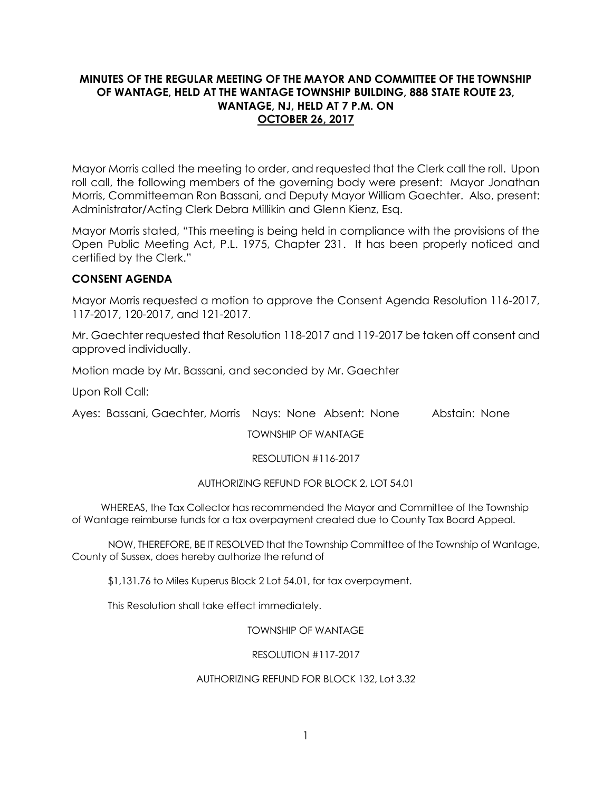## **MINUTES OF THE REGULAR MEETING OF THE MAYOR AND COMMITTEE OF THE TOWNSHIP OF WANTAGE, HELD AT THE WANTAGE TOWNSHIP BUILDING, 888 STATE ROUTE 23, WANTAGE, NJ, HELD AT 7 P.M. ON OCTOBER 26, 2017**

Mayor Morris called the meeting to order, and requested that the Clerk call the roll. Upon roll call, the following members of the governing body were present: Mayor Jonathan Morris, Committeeman Ron Bassani, and Deputy Mayor William Gaechter. Also, present: Administrator/Acting Clerk Debra Millikin and Glenn Kienz, Esq.

Mayor Morris stated, "This meeting is being held in compliance with the provisions of the Open Public Meeting Act, P.L. 1975, Chapter 231. It has been properly noticed and certified by the Clerk."

# **CONSENT AGENDA**

Mayor Morris requested a motion to approve the Consent Agenda Resolution 116-2017, 117-2017, 120-2017, and 121-2017.

Mr. Gaechter requested that Resolution 118-2017 and 119-2017 be taken off consent and approved individually.

Motion made by Mr. Bassani, and seconded by Mr. Gaechter

Upon Roll Call:

Ayes: Bassani, Gaechter, Morris Nays: None Absent: None Abstain: None

TOWNSHIP OF WANTAGE

RESOLUTION #116-2017

## AUTHORIZING REFUND FOR BLOCK 2, LOT 54.01

 WHEREAS, the Tax Collector has recommended the Mayor and Committee of the Township of Wantage reimburse funds for a tax overpayment created due to County Tax Board Appeal.

NOW, THEREFORE, BE IT RESOLVED that the Township Committee of the Township of Wantage, County of Sussex, does hereby authorize the refund of

\$1,131.76 to Miles Kuperus Block 2 Lot 54.01, for tax overpayment.

This Resolution shall take effect immediately.

TOWNSHIP OF WANTAGE

RESOLUTION #117-2017

### AUTHORIZING REFUND FOR BLOCK 132, Lot 3.32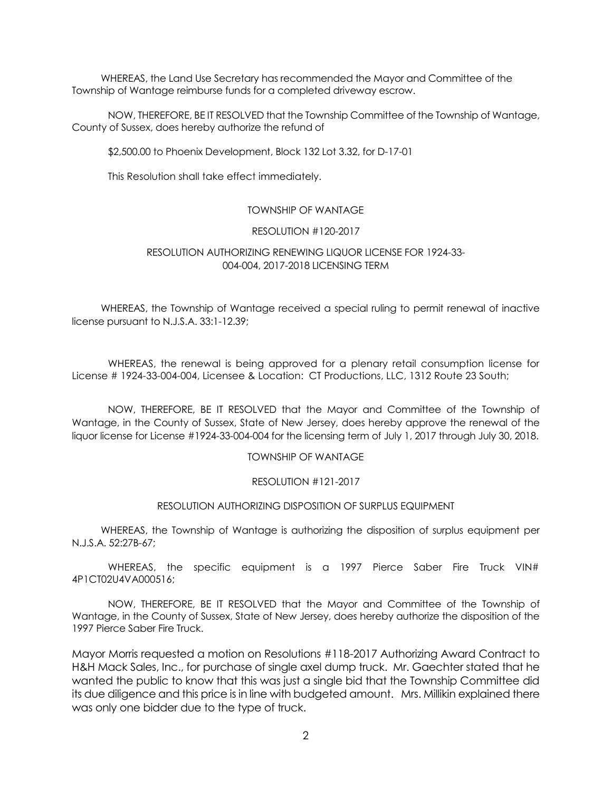WHEREAS, the Land Use Secretary has recommended the Mayor and Committee of the Township of Wantage reimburse funds for a completed driveway escrow.

NOW, THEREFORE, BE IT RESOLVED that the Township Committee of the Township of Wantage, County of Sussex, does hereby authorize the refund of

\$2,500.00 to Phoenix Development, Block 132 Lot 3.32, for D-17-01

This Resolution shall take effect immediately.

### TOWNSHIP OF WANTAGE

### RESOLUTION #120-2017

### RESOLUTION AUTHORIZING RENEWING LIQUOR LICENSE FOR 1924-33- 004-004, 2017-2018 LICENSING TERM

 WHEREAS, the Township of Wantage received a special ruling to permit renewal of inactive license pursuant to N.J.S.A. 33:1-12.39;

WHEREAS, the renewal is being approved for a plenary retail consumption license for License # 1924-33-004-004, Licensee & Location: CT Productions, LLC, 1312 Route 23 South;

NOW, THEREFORE, BE IT RESOLVED that the Mayor and Committee of the Township of Wantage, in the County of Sussex, State of New Jersey, does hereby approve the renewal of the liquor license for License #1924-33-004-004 for the licensing term of July 1, 2017 through July 30, 2018.

#### TOWNSHIP OF WANTAGE

#### RESOLUTION #121-2017

#### RESOLUTION AUTHORIZING DISPOSITION OF SURPLUS EQUIPMENT

 WHEREAS, the Township of Wantage is authorizing the disposition of surplus equipment per N.J.S.A. 52:27B-67;

WHEREAS, the specific equipment is a 1997 Pierce Saber Fire Truck VIN# 4P1CT02U4VA000516;

NOW, THEREFORE, BE IT RESOLVED that the Mayor and Committee of the Township of Wantage, in the County of Sussex, State of New Jersey, does hereby authorize the disposition of the 1997 Pierce Saber Fire Truck.

Mayor Morris requested a motion on Resolutions #118-2017 Authorizing Award Contract to H&H Mack Sales, Inc., for purchase of single axel dump truck. Mr. Gaechter stated that he wanted the public to know that this was just a single bid that the Township Committee did its due diligence and this price is in line with budgeted amount. Mrs. Millikin explained there was only one bidder due to the type of truck.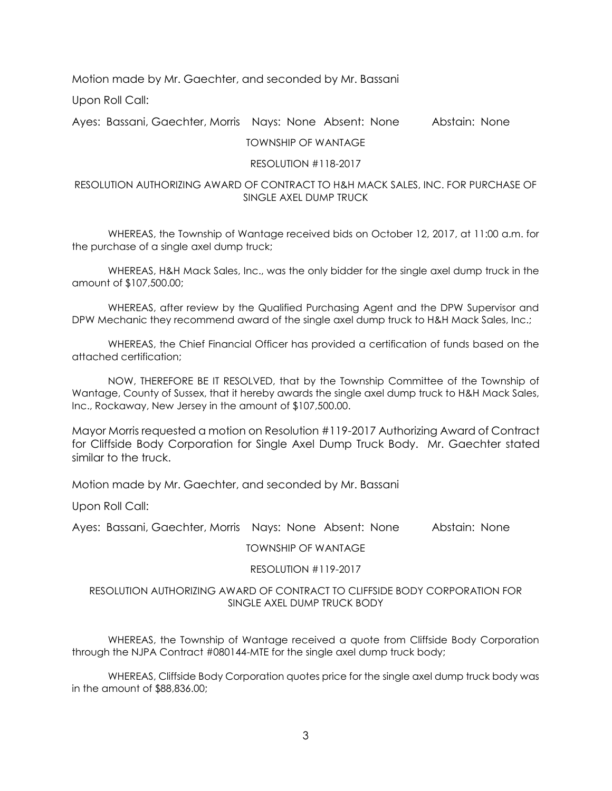Motion made by Mr. Gaechter, and seconded by Mr. Bassani

Upon Roll Call:

Ayes: Bassani, Gaechter, Morris Nays: None Absent: None Abstain: None

#### TOWNSHIP OF WANTAGE

#### RESOLUTION #118-2017

### RESOLUTION AUTHORIZING AWARD OF CONTRACT TO H&H MACK SALES, INC. FOR PURCHASE OF SINGLE AXEL DUMP TRUCK

WHEREAS, the Township of Wantage received bids on October 12, 2017, at 11:00 a.m. for the purchase of a single axel dump truck;

WHEREAS, H&H Mack Sales, Inc., was the only bidder for the single axel dump truck in the amount of \$107,500.00;

WHEREAS, after review by the Qualified Purchasing Agent and the DPW Supervisor and DPW Mechanic they recommend award of the single axel dump truck to H&H Mack Sales, Inc.;

WHEREAS, the Chief Financial Officer has provided a certification of funds based on the attached certification;

NOW, THEREFORE BE IT RESOLVED, that by the Township Committee of the Township of Wantage, County of Sussex, that it hereby awards the single axel dump truck to H&H Mack Sales, Inc., Rockaway, New Jersey in the amount of \$107,500.00.

Mayor Morris requested a motion on Resolution #119-2017 Authorizing Award of Contract for Cliffside Body Corporation for Single Axel Dump Truck Body. Mr. Gaechter stated similar to the truck.

Motion made by Mr. Gaechter, and seconded by Mr. Bassani

Upon Roll Call:

Ayes: Bassani, Gaechter, Morris Nays: None Absent: None Abstain: None

#### TOWNSHIP OF WANTAGE

### RESOLUTION #119-2017

#### RESOLUTION AUTHORIZING AWARD OF CONTRACT TO CLIFFSIDE BODY CORPORATION FOR SINGLE AXEL DUMP TRUCK BODY

WHEREAS, the Township of Wantage received a quote from Cliffside Body Corporation through the NJPA Contract #080144-MTE for the single axel dump truck body;

WHEREAS, Cliffside Body Corporation quotes price for the single axel dump truck body was in the amount of \$88,836.00;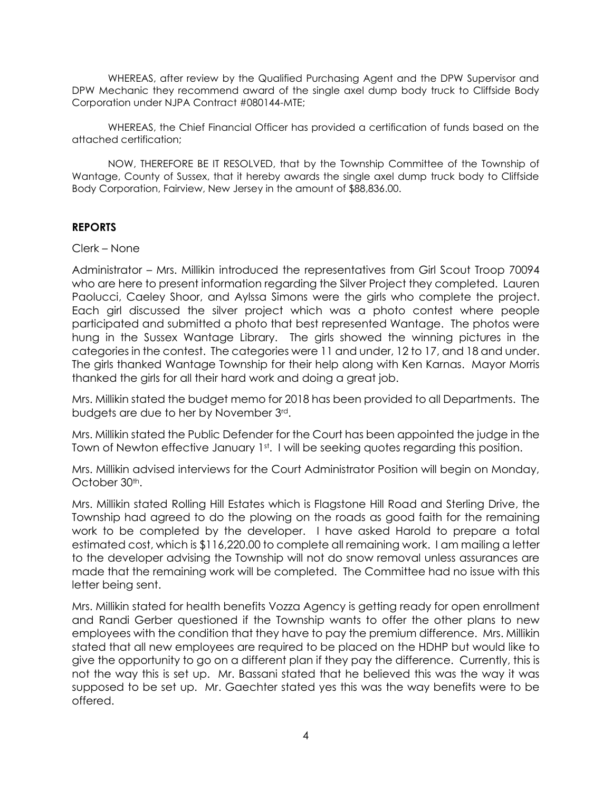WHEREAS, after review by the Qualified Purchasing Agent and the DPW Supervisor and DPW Mechanic they recommend award of the single axel dump body truck to Cliffside Body Corporation under NJPA Contract #080144-MTE;

WHEREAS, the Chief Financial Officer has provided a certification of funds based on the attached certification;

NOW, THEREFORE BE IT RESOLVED, that by the Township Committee of the Township of Wantage, County of Sussex, that it hereby awards the single axel dump truck body to Cliffside Body Corporation, Fairview, New Jersey in the amount of \$88,836.00.

## **REPORTS**

Clerk – None

Administrator – Mrs. Millikin introduced the representatives from Girl Scout Troop 70094 who are here to present information regarding the Silver Project they completed. Lauren Paolucci, Caeley Shoor, and Aylssa Simons were the girls who complete the project. Each girl discussed the silver project which was a photo contest where people participated and submitted a photo that best represented Wantage. The photos were hung in the Sussex Wantage Library. The girls showed the winning pictures in the categories in the contest. The categories were 11 and under, 12 to 17, and 18 and under. The girls thanked Wantage Township for their help along with Ken Karnas. Mayor Morris thanked the girls for all their hard work and doing a great job.

Mrs. Millikin stated the budget memo for 2018 has been provided to all Departments. The budgets are due to her by November 3rd.

Mrs. Millikin stated the Public Defender for the Court has been appointed the judge in the Town of Newton effective January 1st. I will be seeking quotes regarding this position.

Mrs. Millikin advised interviews for the Court Administrator Position will begin on Monday, October 30<sup>th</sup>.

Mrs. Millikin stated Rolling Hill Estates which is Flagstone Hill Road and Sterling Drive, the Township had agreed to do the plowing on the roads as good faith for the remaining work to be completed by the developer. I have asked Harold to prepare a total estimated cost, which is \$116,220.00 to complete all remaining work. I am mailing a letter to the developer advising the Township will not do snow removal unless assurances are made that the remaining work will be completed. The Committee had no issue with this letter being sent.

Mrs. Millikin stated for health benefits Vozza Agency is getting ready for open enrollment and Randi Gerber questioned if the Township wants to offer the other plans to new employees with the condition that they have to pay the premium difference. Mrs. Millikin stated that all new employees are required to be placed on the HDHP but would like to give the opportunity to go on a different plan if they pay the difference. Currently, this is not the way this is set up. Mr. Bassani stated that he believed this was the way it was supposed to be set up. Mr. Gaechter stated yes this was the way benefits were to be offered.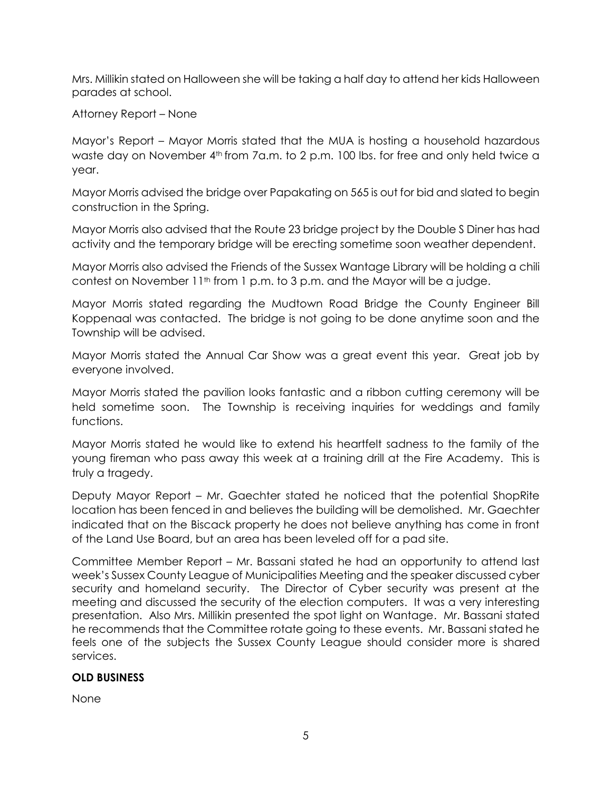Mrs. Millikin stated on Halloween she will be taking a half day to attend her kids Halloween parades at school.

Attorney Report – None

Mayor's Report – Mayor Morris stated that the MUA is hosting a household hazardous waste day on November 4<sup>th</sup> from 7a.m. to 2 p.m. 100 lbs. for free and only held twice a year.

Mayor Morris advised the bridge over Papakating on 565 is out for bid and slated to begin construction in the Spring.

Mayor Morris also advised that the Route 23 bridge project by the Double S Diner has had activity and the temporary bridge will be erecting sometime soon weather dependent.

Mayor Morris also advised the Friends of the Sussex Wantage Library will be holding a chili contest on November  $11<sup>th</sup>$  from 1 p.m. to 3 p.m. and the Mayor will be a judge.

Mayor Morris stated regarding the Mudtown Road Bridge the County Engineer Bill Koppenaal was contacted. The bridge is not going to be done anytime soon and the Township will be advised.

Mayor Morris stated the Annual Car Show was a great event this year. Great job by everyone involved.

Mayor Morris stated the pavilion looks fantastic and a ribbon cutting ceremony will be held sometime soon. The Township is receiving inquiries for weddings and family functions.

Mayor Morris stated he would like to extend his heartfelt sadness to the family of the young fireman who pass away this week at a training drill at the Fire Academy. This is truly a tragedy.

Deputy Mayor Report – Mr. Gaechter stated he noticed that the potential ShopRite location has been fenced in and believes the building will be demolished. Mr. Gaechter indicated that on the Biscack property he does not believe anything has come in front of the Land Use Board, but an area has been leveled off for a pad site.

Committee Member Report – Mr. Bassani stated he had an opportunity to attend last week's Sussex County League of Municipalities Meeting and the speaker discussed cyber security and homeland security. The Director of Cyber security was present at the meeting and discussed the security of the election computers. It was a very interesting presentation. Also Mrs. Millikin presented the spot light on Wantage. Mr. Bassani stated he recommends that the Committee rotate going to these events. Mr. Bassani stated he feels one of the subjects the Sussex County League should consider more is shared services.

# **OLD BUSINESS**

None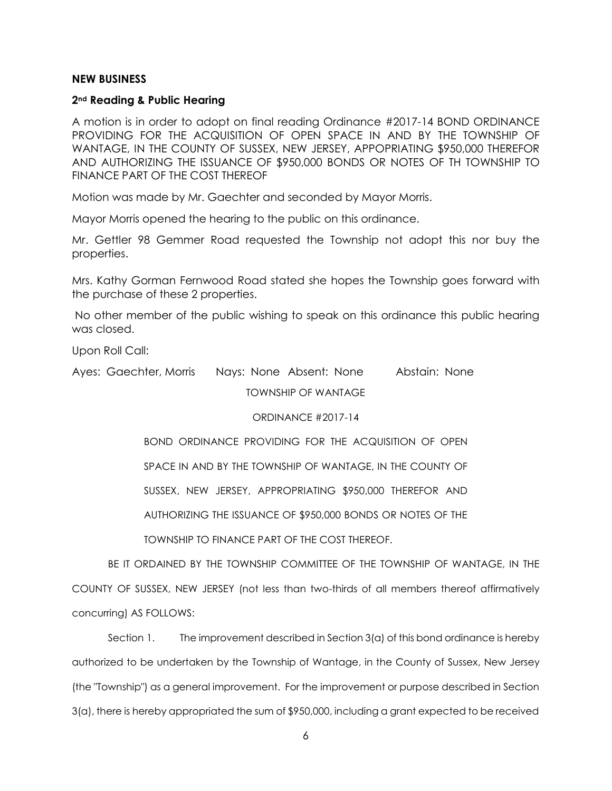#### **NEW BUSINESS**

#### **2nd Reading & Public Hearing**

A motion is in order to adopt on final reading Ordinance #2017-14 BOND ORDINANCE PROVIDING FOR THE ACQUISITION OF OPEN SPACE IN AND BY THE TOWNSHIP OF WANTAGE, IN THE COUNTY OF SUSSEX, NEW JERSEY, APPOPRIATING \$950,000 THEREFOR AND AUTHORIZING THE ISSUANCE OF \$950,000 BONDS OR NOTES OF TH TOWNSHIP TO FINANCE PART OF THE COST THEREOF

Motion was made by Mr. Gaechter and seconded by Mayor Morris.

Mayor Morris opened the hearing to the public on this ordinance.

Mr. Gettler 98 Gemmer Road requested the Township not adopt this nor buy the properties.

Mrs. Kathy Gorman Fernwood Road stated she hopes the Township goes forward with the purchase of these 2 properties.

No other member of the public wishing to speak on this ordinance this public hearing was closed.

Upon Roll Call:

Ayes: Gaechter, Morris Nays: None Absent: None Abstain: None TOWNSHIP OF WANTAGE

### ORDINANCE #2017-14

BOND ORDINANCE PROVIDING FOR THE ACQUISITION OF OPEN

SPACE IN AND BY THE TOWNSHIP OF WANTAGE, IN THE COUNTY OF

SUSSEX, NEW JERSEY, APPROPRIATING \$950,000 THEREFOR AND

AUTHORIZING THE ISSUANCE OF \$950,000 BONDS OR NOTES OF THE

TOWNSHIP TO FINANCE PART OF THE COST THEREOF.

BE IT ORDAINED BY THE TOWNSHIP COMMITTEE OF THE TOWNSHIP OF WANTAGE, IN THE COUNTY OF SUSSEX, NEW JERSEY (not less than two-thirds of all members thereof affirmatively concurring) AS FOLLOWS:

Section 1. The improvement described in Section 3(a) of this bond ordinance is hereby authorized to be undertaken by the Township of Wantage, in the County of Sussex, New Jersey (the "Township") as a general improvement. For the improvement or purpose described in Section 3(a), there is hereby appropriated the sum of \$950,000, including a grant expected to be received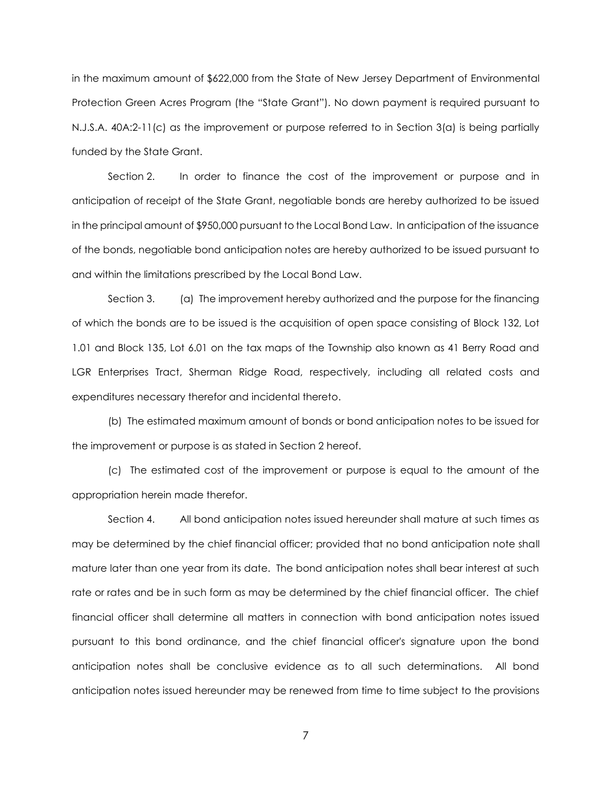in the maximum amount of \$622,000 from the State of New Jersey Department of Environmental Protection Green Acres Program (the "State Grant"). No down payment is required pursuant to N.J.S.A. 40A:2-11(c) as the improvement or purpose referred to in Section 3(a) is being partially funded by the State Grant.

Section 2. In order to finance the cost of the improvement or purpose and in anticipation of receipt of the State Grant, negotiable bonds are hereby authorized to be issued in the principal amount of \$950,000 pursuant to the Local Bond Law. In anticipation of the issuance of the bonds, negotiable bond anticipation notes are hereby authorized to be issued pursuant to and within the limitations prescribed by the Local Bond Law.

Section 3. (a) The improvement hereby authorized and the purpose for the financing of which the bonds are to be issued is the acquisition of open space consisting of Block 132, Lot 1.01 and Block 135, Lot 6.01 on the tax maps of the Township also known as 41 Berry Road and LGR Enterprises Tract, Sherman Ridge Road, respectively, including all related costs and expenditures necessary therefor and incidental thereto.

(b) The estimated maximum amount of bonds or bond anticipation notes to be issued for the improvement or purpose is as stated in Section 2 hereof.

(c) The estimated cost of the improvement or purpose is equal to the amount of the appropriation herein made therefor.

Section 4. All bond anticipation notes issued hereunder shall mature at such times as may be determined by the chief financial officer; provided that no bond anticipation note shall mature later than one year from its date. The bond anticipation notes shall bear interest at such rate or rates and be in such form as may be determined by the chief financial officer. The chief financial officer shall determine all matters in connection with bond anticipation notes issued pursuant to this bond ordinance, and the chief financial officer's signature upon the bond anticipation notes shall be conclusive evidence as to all such determinations. All bond anticipation notes issued hereunder may be renewed from time to time subject to the provisions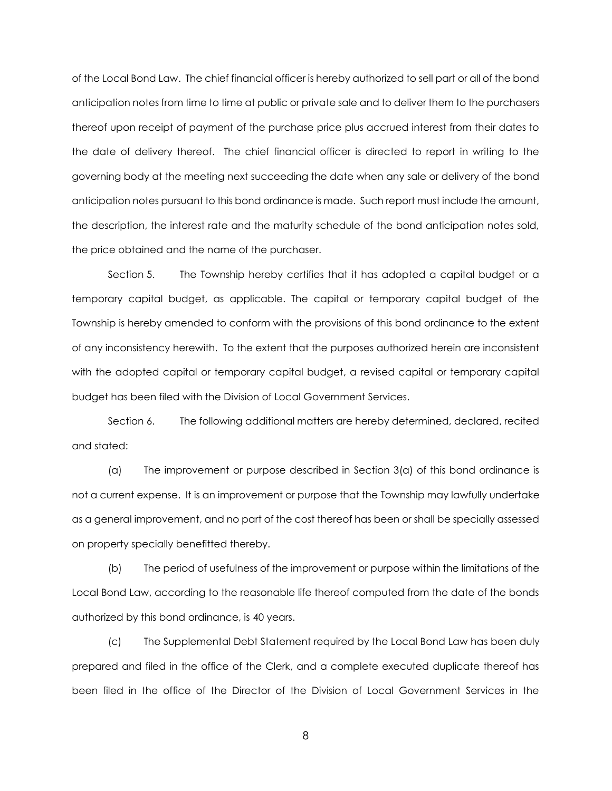of the Local Bond Law. The chief financial officer is hereby authorized to sell part or all of the bond anticipation notes from time to time at public or private sale and to deliver them to the purchasers thereof upon receipt of payment of the purchase price plus accrued interest from their dates to the date of delivery thereof. The chief financial officer is directed to report in writing to the governing body at the meeting next succeeding the date when any sale or delivery of the bond anticipation notes pursuant to this bond ordinance is made. Such report must include the amount, the description, the interest rate and the maturity schedule of the bond anticipation notes sold, the price obtained and the name of the purchaser.

Section 5. The Township hereby certifies that it has adopted a capital budget or a temporary capital budget, as applicable. The capital or temporary capital budget of the Township is hereby amended to conform with the provisions of this bond ordinance to the extent of any inconsistency herewith. To the extent that the purposes authorized herein are inconsistent with the adopted capital or temporary capital budget, a revised capital or temporary capital budget has been filed with the Division of Local Government Services.

Section 6. The following additional matters are hereby determined, declared, recited and stated:

(a) The improvement or purpose described in Section 3(a) of this bond ordinance is not a current expense. It is an improvement or purpose that the Township may lawfully undertake as a general improvement, and no part of the cost thereof has been or shall be specially assessed on property specially benefitted thereby.

(b) The period of usefulness of the improvement or purpose within the limitations of the Local Bond Law, according to the reasonable life thereof computed from the date of the bonds authorized by this bond ordinance, is 40 years.

(c) The Supplemental Debt Statement required by the Local Bond Law has been duly prepared and filed in the office of the Clerk, and a complete executed duplicate thereof has been filed in the office of the Director of the Division of Local Government Services in the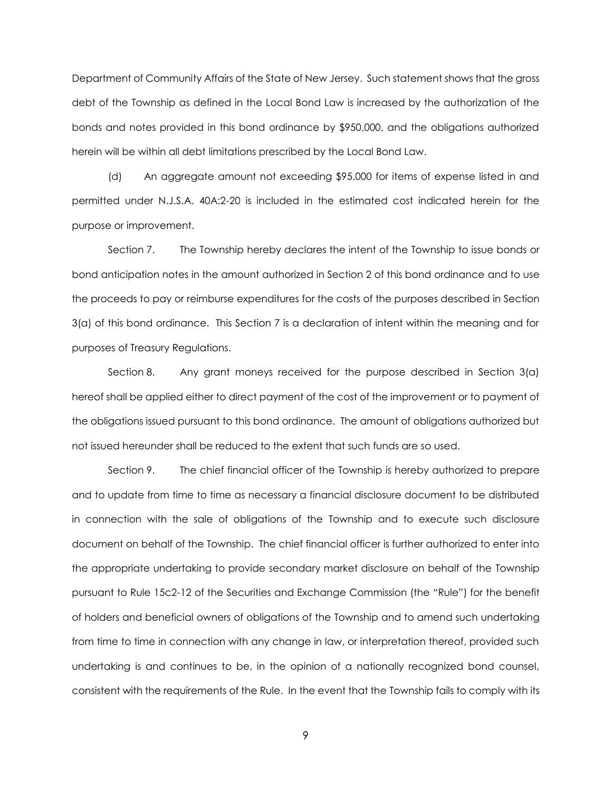Department of Community Affairs of the State of New Jersey. Such statement shows that the gross debt of the Township as defined in the Local Bond Law is increased by the authorization of the bonds and notes provided in this bond ordinance by \$950,000, and the obligations authorized herein will be within all debt limitations prescribed by the Local Bond Law.

(d) An aggregate amount not exceeding \$95,000 for items of expense listed in and permitted under N.J.S.A. 40A:2-20 is included in the estimated cost indicated herein for the purpose or improvement.

Section 7. The Township hereby declares the intent of the Township to issue bonds or bond anticipation notes in the amount authorized in Section 2 of this bond ordinance and to use the proceeds to pay or reimburse expenditures for the costs of the purposes described in Section 3(a) of this bond ordinance. This Section 7 is a declaration of intent within the meaning and for purposes of Treasury Regulations.

Section 8. Any grant moneys received for the purpose described in Section 3(a) hereof shall be applied either to direct payment of the cost of the improvement or to payment of the obligations issued pursuant to this bond ordinance. The amount of obligations authorized but not issued hereunder shall be reduced to the extent that such funds are so used.

Section 9. The chief financial officer of the Township is hereby authorized to prepare and to update from time to time as necessary a financial disclosure document to be distributed in connection with the sale of obligations of the Township and to execute such disclosure document on behalf of the Township. The chief financial officer is further authorized to enter into the appropriate undertaking to provide secondary market disclosure on behalf of the Township pursuant to Rule 15c2-12 of the Securities and Exchange Commission (the "Rule") for the benefit of holders and beneficial owners of obligations of the Township and to amend such undertaking from time to time in connection with any change in law, or interpretation thereof, provided such undertaking is and continues to be, in the opinion of a nationally recognized bond counsel, consistent with the requirements of the Rule. In the event that the Township fails to comply with its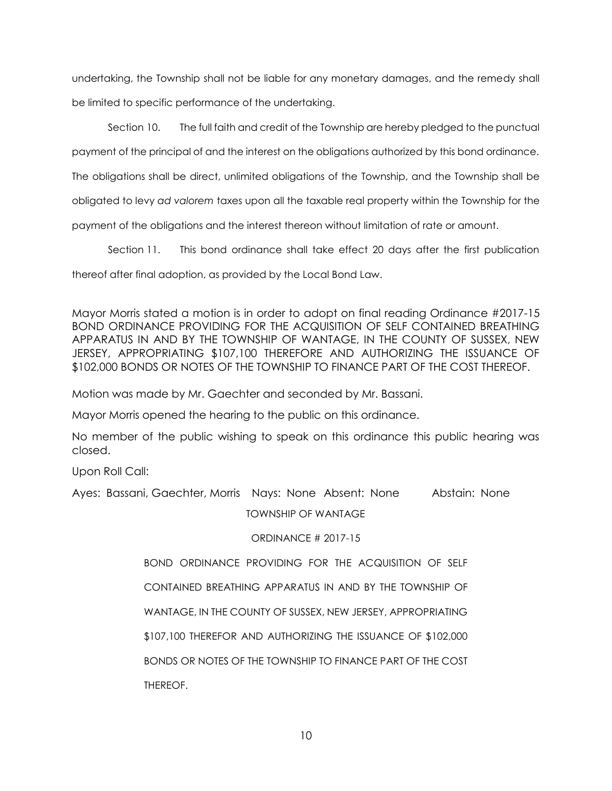undertaking, the Township shall not be liable for any monetary damages, and the remedy shall be limited to specific performance of the undertaking.

Section 10. The full faith and credit of the Township are hereby pledged to the punctual

payment of the principal of and the interest on the obligations authorized by this bond ordinance.

The obligations shall be direct, unlimited obligations of the Township, and the Township shall be

obligated to levy *ad valorem* taxes upon all the taxable real property within the Township for the

payment of the obligations and the interest thereon without limitation of rate or amount.

Section 11. This bond ordinance shall take effect 20 days after the first publication

thereof after final adoption, as provided by the Local Bond Law.

Mayor Morris stated a motion is in order to adopt on final reading Ordinance #2017-15 BOND ORDINANCE PROVIDING FOR THE ACQUISITION OF SELF CONTAINED BREATHING APPARATUS IN AND BY THE TOWNSHIP OF WANTAGE, IN THE COUNTY OF SUSSEX, NEW JERSEY, APPROPRIATING \$107,100 THEREFORE AND AUTHORIZING THE ISSUANCE OF \$102,000 BONDS OR NOTES OF THE TOWNSHIP TO FINANCE PART OF THE COST THEREOF.

Motion was made by Mr. Gaechter and seconded by Mr. Bassani.

Mayor Morris opened the hearing to the public on this ordinance.

No member of the public wishing to speak on this ordinance this public hearing was closed.

Upon Roll Call:

Ayes: Bassani, Gaechter, Morris Nays: None Absent: None Abstain: None

TOWNSHIP OF WANTAGE

ORDINANCE # 2017-15

BOND ORDINANCE PROVIDING FOR THE ACQUISITION OF SELF

CONTAINED BREATHING APPARATUS IN AND BY THE TOWNSHIP OF

WANTAGE, IN THE COUNTY OF SUSSEX, NEW JERSEY, APPROPRIATING

\$107,100 THEREFOR AND AUTHORIZING THE ISSUANCE OF \$102,000

BONDS OR NOTES OF THE TOWNSHIP TO FINANCE PART OF THE COST

THEREOF.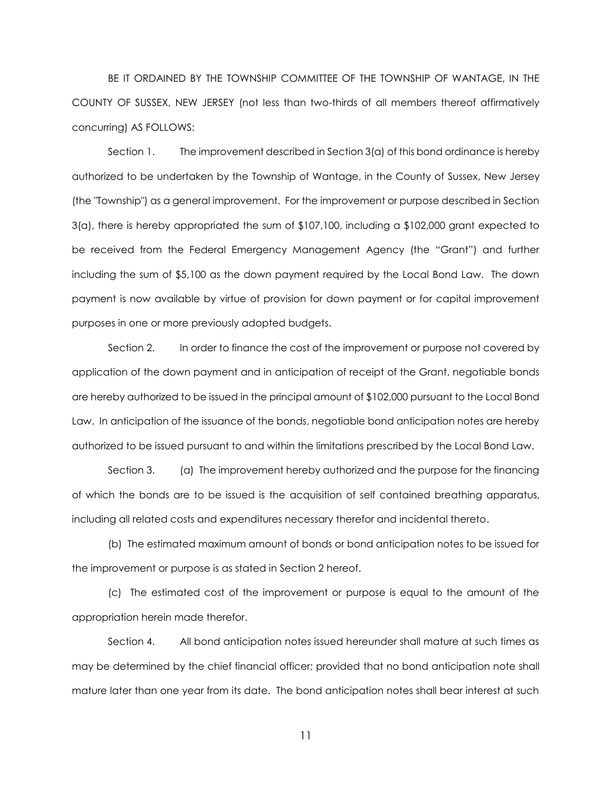BE IT ORDAINED BY THE TOWNSHIP COMMITTEE OF THE TOWNSHIP OF WANTAGE, IN THE COUNTY OF SUSSEX, NEW JERSEY (not less than two-thirds of all members thereof affirmatively concurring) AS FOLLOWS:

Section 1. The improvement described in Section 3(a) of this bond ordinance is hereby authorized to be undertaken by the Township of Wantage, in the County of Sussex, New Jersey (the "Township") as a general improvement. For the improvement or purpose described in Section 3(a), there is hereby appropriated the sum of \$107,100, including a \$102,000 grant expected to be received from the Federal Emergency Management Agency (the "Grant") and further including the sum of \$5,100 as the down payment required by the Local Bond Law. The down payment is now available by virtue of provision for down payment or for capital improvement purposes in one or more previously adopted budgets.

Section 2. In order to finance the cost of the improvement or purpose not covered by application of the down payment and in anticipation of receipt of the Grant, negotiable bonds are hereby authorized to be issued in the principal amount of \$102,000 pursuant to the Local Bond Law. In anticipation of the issuance of the bonds, negotiable bond anticipation notes are hereby authorized to be issued pursuant to and within the limitations prescribed by the Local Bond Law.

Section 3. (a) The improvement hereby authorized and the purpose for the financing of which the bonds are to be issued is the acquisition of self contained breathing apparatus, including all related costs and expenditures necessary therefor and incidental thereto.

(b) The estimated maximum amount of bonds or bond anticipation notes to be issued for the improvement or purpose is as stated in Section 2 hereof.

(c) The estimated cost of the improvement or purpose is equal to the amount of the appropriation herein made therefor.

Section 4. All bond anticipation notes issued hereunder shall mature at such times as may be determined by the chief financial officer; provided that no bond anticipation note shall mature later than one year from its date. The bond anticipation notes shall bear interest at such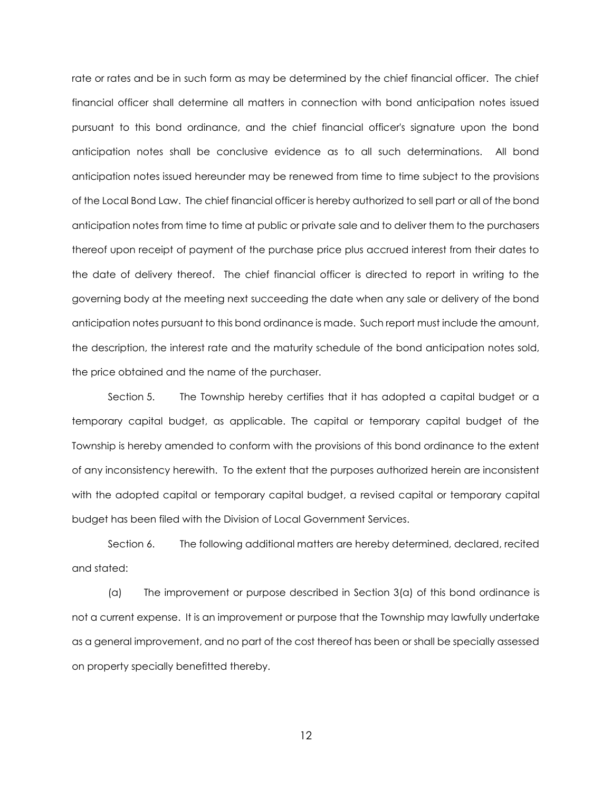rate or rates and be in such form as may be determined by the chief financial officer. The chief financial officer shall determine all matters in connection with bond anticipation notes issued pursuant to this bond ordinance, and the chief financial officer's signature upon the bond anticipation notes shall be conclusive evidence as to all such determinations. All bond anticipation notes issued hereunder may be renewed from time to time subject to the provisions of the Local Bond Law. The chief financial officer is hereby authorized to sell part or all of the bond anticipation notes from time to time at public or private sale and to deliver them to the purchasers thereof upon receipt of payment of the purchase price plus accrued interest from their dates to the date of delivery thereof. The chief financial officer is directed to report in writing to the governing body at the meeting next succeeding the date when any sale or delivery of the bond anticipation notes pursuant to this bond ordinance is made. Such report must include the amount, the description, the interest rate and the maturity schedule of the bond anticipation notes sold, the price obtained and the name of the purchaser.

Section 5. The Township hereby certifies that it has adopted a capital budget or a temporary capital budget, as applicable. The capital or temporary capital budget of the Township is hereby amended to conform with the provisions of this bond ordinance to the extent of any inconsistency herewith. To the extent that the purposes authorized herein are inconsistent with the adopted capital or temporary capital budget, a revised capital or temporary capital budget has been filed with the Division of Local Government Services.

Section 6. The following additional matters are hereby determined, declared, recited and stated:

(a) The improvement or purpose described in Section 3(a) of this bond ordinance is not a current expense. It is an improvement or purpose that the Township may lawfully undertake as a general improvement, and no part of the cost thereof has been or shall be specially assessed on property specially benefitted thereby.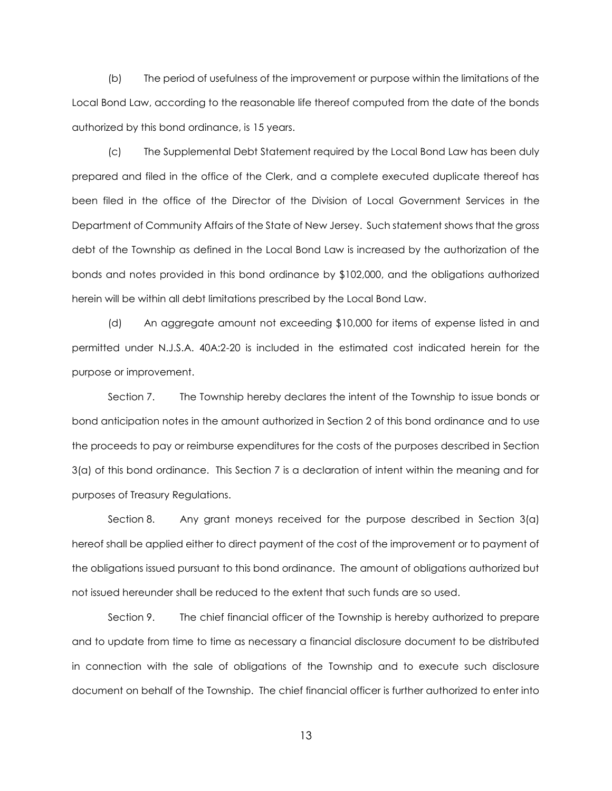(b) The period of usefulness of the improvement or purpose within the limitations of the Local Bond Law, according to the reasonable life thereof computed from the date of the bonds authorized by this bond ordinance, is 15 years.

(c) The Supplemental Debt Statement required by the Local Bond Law has been duly prepared and filed in the office of the Clerk, and a complete executed duplicate thereof has been filed in the office of the Director of the Division of Local Government Services in the Department of Community Affairs of the State of New Jersey. Such statement shows that the gross debt of the Township as defined in the Local Bond Law is increased by the authorization of the bonds and notes provided in this bond ordinance by \$102,000, and the obligations authorized herein will be within all debt limitations prescribed by the Local Bond Law.

(d) An aggregate amount not exceeding \$10,000 for items of expense listed in and permitted under N.J.S.A. 40A:2-20 is included in the estimated cost indicated herein for the purpose or improvement.

Section 7. The Township hereby declares the intent of the Township to issue bonds or bond anticipation notes in the amount authorized in Section 2 of this bond ordinance and to use the proceeds to pay or reimburse expenditures for the costs of the purposes described in Section 3(a) of this bond ordinance. This Section 7 is a declaration of intent within the meaning and for purposes of Treasury Regulations.

Section 8. Any grant moneys received for the purpose described in Section 3(a) hereof shall be applied either to direct payment of the cost of the improvement or to payment of the obligations issued pursuant to this bond ordinance. The amount of obligations authorized but not issued hereunder shall be reduced to the extent that such funds are so used.

Section 9. The chief financial officer of the Township is hereby authorized to prepare and to update from time to time as necessary a financial disclosure document to be distributed in connection with the sale of obligations of the Township and to execute such disclosure document on behalf of the Township. The chief financial officer is further authorized to enter into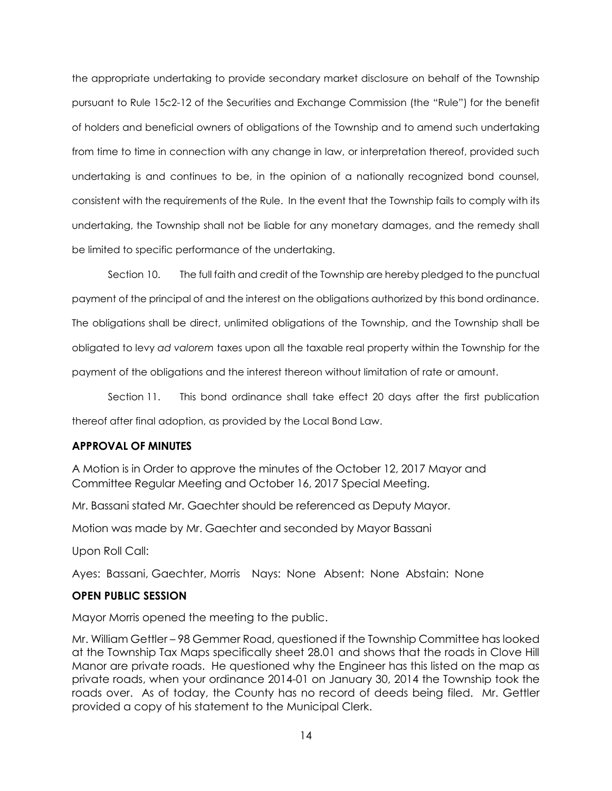the appropriate undertaking to provide secondary market disclosure on behalf of the Township pursuant to Rule 15c2-12 of the Securities and Exchange Commission (the "Rule") for the benefit of holders and beneficial owners of obligations of the Township and to amend such undertaking from time to time in connection with any change in law, or interpretation thereof, provided such undertaking is and continues to be, in the opinion of a nationally recognized bond counsel, consistent with the requirements of the Rule. In the event that the Township fails to comply with its undertaking, the Township shall not be liable for any monetary damages, and the remedy shall be limited to specific performance of the undertaking.

Section 10. The full faith and credit of the Township are hereby pledged to the punctual payment of the principal of and the interest on the obligations authorized by this bond ordinance. The obligations shall be direct, unlimited obligations of the Township, and the Township shall be obligated to levy *ad valorem* taxes upon all the taxable real property within the Township for the payment of the obligations and the interest thereon without limitation of rate or amount.

Section 11. This bond ordinance shall take effect 20 days after the first publication thereof after final adoption, as provided by the Local Bond Law.

## **APPROVAL OF MINUTES**

A Motion is in Order to approve the minutes of the October 12, 2017 Mayor and Committee Regular Meeting and October 16, 2017 Special Meeting.

Mr. Bassani stated Mr. Gaechter should be referenced as Deputy Mayor.

Motion was made by Mr. Gaechter and seconded by Mayor Bassani

Upon Roll Call:

Ayes: Bassani, Gaechter, Morris Nays: None Absent: None Abstain: None

## **OPEN PUBLIC SESSION**

Mayor Morris opened the meeting to the public.

Mr. William Gettler – 98 Gemmer Road, questioned if the Township Committee has looked at the Township Tax Maps specifically sheet 28.01 and shows that the roads in Clove Hill Manor are private roads. He questioned why the Engineer has this listed on the map as private roads, when your ordinance 2014-01 on January 30, 2014 the Township took the roads over. As of today, the County has no record of deeds being filed. Mr. Gettler provided a copy of his statement to the Municipal Clerk.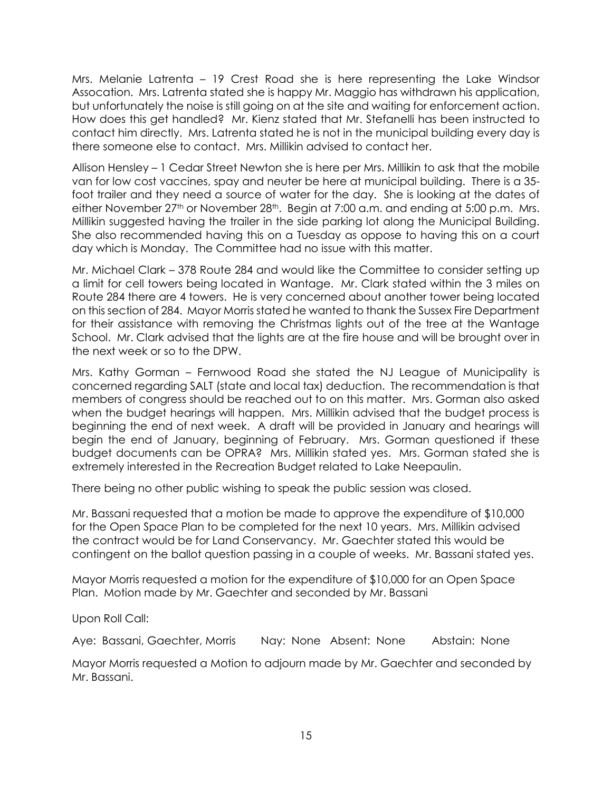Mrs. Melanie Latrenta – 19 Crest Road she is here representing the Lake Windsor Assocation. Mrs. Latrenta stated she is happy Mr. Maggio has withdrawn his application, but unfortunately the noise is still going on at the site and waiting for enforcement action. How does this get handled? Mr. Kienz stated that Mr. Stefanelli has been instructed to contact him directly. Mrs. Latrenta stated he is not in the municipal building every day is there someone else to contact. Mrs. Millikin advised to contact her.

Allison Hensley – 1 Cedar Street Newton she is here per Mrs. Millikin to ask that the mobile van for low cost vaccines, spay and neuter be here at municipal building. There is a 35 foot trailer and they need a source of water for the day. She is looking at the dates of either November 27<sup>th</sup> or November 28<sup>th</sup>. Begin at 7:00 a.m. and ending at 5:00 p.m. Mrs. Millikin suggested having the trailer in the side parking lot along the Municipal Building. She also recommended having this on a Tuesday as oppose to having this on a court day which is Monday. The Committee had no issue with this matter.

Mr. Michael Clark – 378 Route 284 and would like the Committee to consider setting up a limit for cell towers being located in Wantage. Mr. Clark stated within the 3 miles on Route 284 there are 4 towers. He is very concerned about another tower being located on this section of 284. Mayor Morris stated he wanted to thank the Sussex Fire Department for their assistance with removing the Christmas lights out of the tree at the Wantage School. Mr. Clark advised that the lights are at the fire house and will be brought over in the next week or so to the DPW.

Mrs. Kathy Gorman – Fernwood Road she stated the NJ League of Municipality is concerned regarding SALT (state and local tax) deduction. The recommendation is that members of congress should be reached out to on this matter. Mrs. Gorman also asked when the budget hearings will happen. Mrs. Millikin advised that the budget process is beginning the end of next week. A draft will be provided in January and hearings will begin the end of January, beginning of February. Mrs. Gorman questioned if these budget documents can be OPRA? Mrs. Millikin stated yes. Mrs. Gorman stated she is extremely interested in the Recreation Budget related to Lake Neepaulin.

There being no other public wishing to speak the public session was closed.

Mr. Bassani requested that a motion be made to approve the expenditure of \$10,000 for the Open Space Plan to be completed for the next 10 years. Mrs. Millikin advised the contract would be for Land Conservancy. Mr. Gaechter stated this would be contingent on the ballot question passing in a couple of weeks. Mr. Bassani stated yes.

Mayor Morris requested a motion for the expenditure of \$10,000 for an Open Space Plan. Motion made by Mr. Gaechter and seconded by Mr. Bassani

Upon Roll Call:

Aye: Bassani, Gaechter, Morris Nay: None Absent: None Abstain: None

Mayor Morris requested a Motion to adjourn made by Mr. Gaechter and seconded by Mr. Bassani.